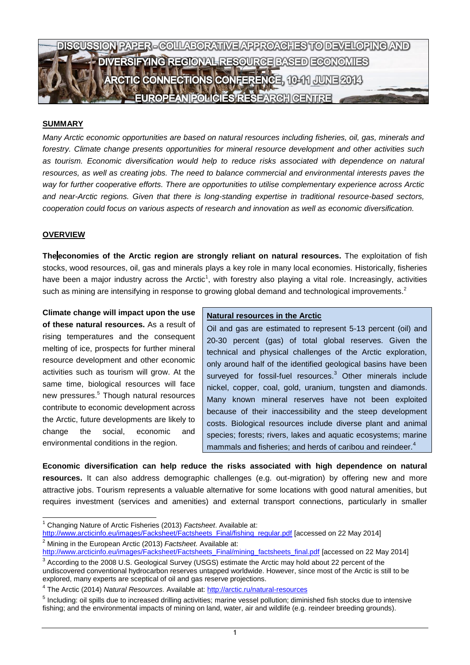

### **SUMMARY**

*Many Arctic economic opportunities are based on natural resources including fisheries, oil, gas, minerals and forestry. Climate change presents opportunities for mineral resource development and other activities such as tourism. Economic diversification would help to reduce risks associated with dependence on natural resources, as well as creating jobs. The need to balance commercial and environmental interests paves the way for further cooperative efforts. There are opportunities to utilise complementary experience across Arctic and near-Arctic regions. Given that there is long-standing expertise in traditional resource-based sectors, cooperation could focus on various aspects of research and innovation as well as economic diversification.* 

#### **OVERVIEW**

-

**The economies of the Arctic region are strongly reliant on natural resources.** The exploitation of fish stocks, wood resources, oil, gas and minerals plays a key role in many local economies. Historically, fisheries have been a major industry across the Arctic<sup>1</sup>, with forestry also playing a vital role. Increasingly, activities such as mining are intensifying in response to growing global demand and technological improvements.<sup>2</sup>

**Climate change will impact upon the use of these natural resources.** As a result of rising temperatures and the consequent melting of ice, prospects for further mineral resource development and other economic activities such as tourism will grow. At the same time, biological resources will face new pressures. <sup>5</sup> Though natural resources contribute to economic development across the Arctic, future developments are likely to change the social, economic and environmental conditions in the region.

#### **Natural resources in the Arctic**

Oil and gas are estimated to represent 5-13 percent (oil) and 20-30 percent (gas) of total global reserves. Given the technical and physical challenges of the Arctic exploration, only around half of the identified geological basins have been surveyed for fossil-fuel resources.<sup>3</sup> Other minerals include nickel, copper, coal, gold, uranium, tungsten and diamonds. Many known mineral reserves have not been exploited because of their inaccessibility and the steep development costs. Biological resources include diverse plant and animal species; forests; rivers, lakes and aquatic ecosystems; marine mammals and fisheries; and herds of caribou and reindeer.<sup>4</sup>

**Economic diversification can help reduce the risks associated with high dependence on natural resources.** It can also address demographic challenges (e.g. out-migration) by offering new and more attractive jobs. Tourism represents a valuable alternative for some locations with good natural amenities, but requires investment (services and amenities) and external transport connections, particularly in smaller

<sup>1</sup> Changing Nature of Arctic Fisheries (2013) *Factsheet*. Available at:

[http://www.arcticinfo.eu/images/Facksheet/Factsheets\\_Final/fishing\\_regular.pdf](http://www.arcticinfo.eu/images/Facksheet/Factsheets_Final/fishing_regular.pdf) [accessed on 22 May 2014] <sup>2</sup> Mining in the European Arctic (2013) *Factsheet.* Available at:

[http://www.arcticinfo.eu/images/Facksheet/Factsheets\\_Final/mining\\_factsheets\\_final.pdf](http://www.arcticinfo.eu/images/Facksheet/Factsheets_Final/mining_factsheets_final.pdf) [accessed on 22 May 2014]

 $3$  According to the 2008 U.S. Geological Survey (USGS) estimate the Arctic may hold about 22 percent of the undiscovered conventional hydrocarbon reserves untapped worldwide. However, since most of the Arctic is still to be explored, many experts are sceptical of oil and gas reserve projections.

<sup>&</sup>lt;sup>4</sup> The Arctic (2014) *Natural Resources.* Available at: <http://arctic.ru/natural-resources>

<sup>&</sup>lt;sup>5</sup> Including: oil spills due to increased drilling activities; marine vessel pollution; diminished fish stocks due to intensive fishing; and the environmental impacts of mining on land, water, air and wildlife (e.g. reindeer breeding grounds).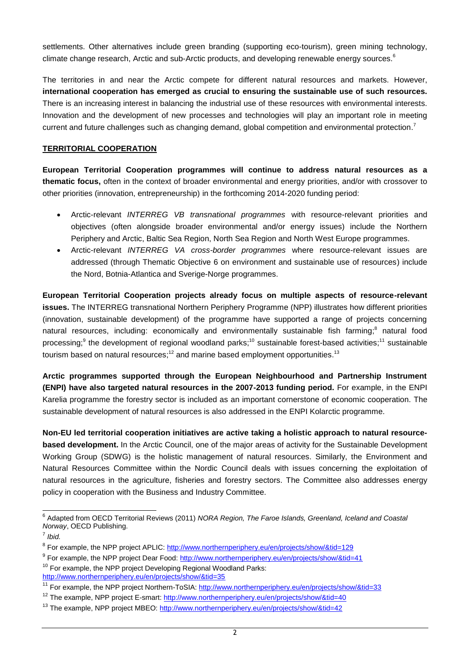settlements. Other alternatives include green branding (supporting eco-tourism), green mining technology, climate change research, Arctic and sub-Arctic products, and developing renewable energy sources.<sup>6</sup>

The territories in and near the Arctic compete for different natural resources and markets. However, **international cooperation has emerged as crucial to ensuring the sustainable use of such resources.**  There is an increasing interest in balancing the industrial use of these resources with environmental interests. Innovation and the development of new processes and technologies will play an important role in meeting current and future challenges such as changing demand, global competition and environmental protection.<sup>7</sup>

## **TERRITORIAL COOPERATION**

**European Territorial Cooperation programmes will continue to address natural resources as a thematic focus,** often in the context of broader environmental and energy priorities, and/or with crossover to other priorities (innovation, entrepreneurship) in the forthcoming 2014-2020 funding period:

- Arctic-relevant *INTERREG VB transnational programmes* with resource-relevant priorities and objectives (often alongside broader environmental and/or energy issues) include the Northern Periphery and Arctic, Baltic Sea Region, North Sea Region and North West Europe programmes.
- Arctic-relevant *INTERREG VA cross-border programmes* where resource-relevant issues are addressed (through Thematic Objective 6 on environment and sustainable use of resources) include the Nord, Botnia-Atlantica and Sverige-Norge programmes.

**European Territorial Cooperation projects already focus on multiple aspects of resource-relevant issues.** The INTERREG transnational Northern Periphery Programme (NPP) illustrates how different priorities (innovation, sustainable development) of the programme have supported a range of projects concerning natural resources, including: economically and environmentally sustainable fish farming;<sup>8</sup> natural food processing;<sup>9</sup> the development of regional woodland parks;<sup>10</sup> sustainable forest-based activities;<sup>11</sup> sustainable tourism based on natural resources;<sup>12</sup> and marine based employment opportunities.<sup>13</sup>

**Arctic programmes supported through the European Neighbourhood and Partnership Instrument (ENPI) have also targeted natural resources in the 2007-2013 funding period.** For example, in the ENPI Karelia programme the forestry sector is included as an important cornerstone of economic cooperation. The sustainable development of natural resources is also addressed in the ENPI Kolarctic programme.

**Non-EU led territorial cooperation initiatives are active taking a holistic approach to natural resourcebased development.** In the Arctic Council, one of the major areas of activity for the Sustainable Development Working Group (SDWG) is the holistic management of natural resources. Similarly, the Environment and Natural Resources Committee within the Nordic Council deals with issues concerning the exploitation of natural resources in the agriculture, fisheries and forestry sectors. The Committee also addresses energy policy in cooperation with the Business and Industry Committee.

 6 Adapted from OECD Territorial Reviews (2011) *NORA Region, The Faroe Islands, Greenland, Iceland and Coastal Norway*, OECD Publishing.

<sup>7</sup> *Ibid.*

<sup>&</sup>lt;sup>8</sup> For example, the NPP project APLIC:<http://www.northernperiphery.eu/en/projects/show/&tid=129>

<sup>&</sup>lt;sup>9</sup> For example, the NPP project Dear Food:<http://www.northernperiphery.eu/en/projects/show/&tid=41>

 $10$  For example, the NPP project Developing Regional Woodland Parks: <http://www.northernperiphery.eu/en/projects/show/&tid=35>

<sup>&</sup>lt;sup>11</sup> For example, the NPP project Northern-ToSIA:<http://www.northernperiphery.eu/en/projects/show/&tid=33>

<sup>&</sup>lt;sup>12</sup> The example, NPP project E-smart:<http://www.northernperiphery.eu/en/projects/show/&tid=40>

<sup>&</sup>lt;sup>13</sup> The example, NPP project MBEO:<http://www.northernperiphery.eu/en/projects/show/&tid=42>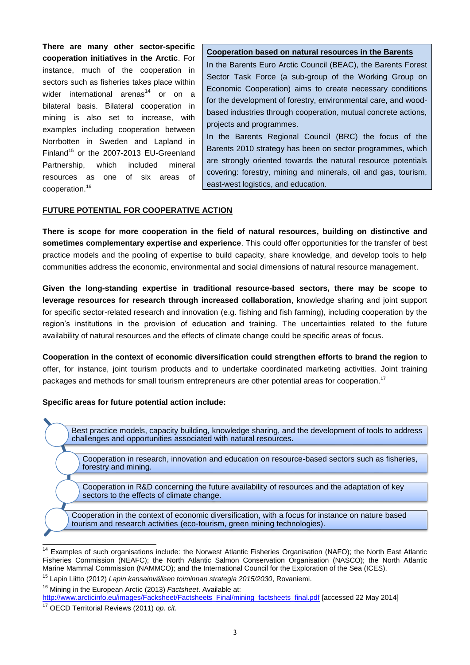**There are many other sector-specific cooperation initiatives in the Arctic**. For instance, much of the cooperation in sectors such as fisheries takes place within wider international arenas $14$  or on a bilateral basis. Bilateral cooperation in mining is also set to increase, with examples including cooperation between Norrbotten in Sweden and Lapland in Finland<sup>15</sup> or the 2007-2013 EU-Greenland Partnership, which included mineral resources as one of six areas of cooperation.<sup>16</sup>

### **Cooperation based on natural resources in the Barents**

In the Barents Euro Arctic Council (BEAC), the Barents Forest Sector Task Force (a sub-group of the Working Group on Economic Cooperation) aims to create necessary conditions for the development of forestry, environmental care, and woodbased industries through cooperation, mutual concrete actions, projects and programmes.

In the Barents Regional Council (BRC) the focus of the Barents 2010 strategy has been on sector programmes, which are strongly oriented towards the natural resource potentials covering: forestry, mining and minerals, oil and gas, tourism, east-west logistics, and education.

### **FUTURE POTENTIAL FOR COOPERATIVE ACTION**

**There is scope for more cooperation in the field of natural resources, building on distinctive and sometimes complementary expertise and experience**. This could offer opportunities for the transfer of best practice models and the pooling of expertise to build capacity, share knowledge, and develop tools to help communities address the economic, environmental and social dimensions of natural resource management.

**Given the long-standing expertise in traditional resource-based sectors, there may be scope to leverage resources for research through increased collaboration**, knowledge sharing and joint support for specific sector-related research and innovation (e.g. fishing and fish farming), including cooperation by the region's institutions in the provision of education and training. The uncertainties related to the future availability of natural resources and the effects of climate change could be specific areas of focus.

**Cooperation in the context of economic diversification could strengthen efforts to brand the region** to offer, for instance, joint tourism products and to undertake coordinated marketing activities. Joint training packages and methods for small tourism entrepreneurs are other potential areas for cooperation.<sup>17</sup>

### **Specific areas for future potential action include:**

Best practice models, capacity building, knowledge sharing, and the development of tools to address challenges and opportunities associated with natural resources.

Cooperation in research, innovation and education on resource-based sectors such as fisheries, forestry and mining.

Cooperation in R&D concerning the future availability of resources and the adaptation of key sectors to the effects of climate change.

Cooperation in the context of economic diversification, with a focus for instance on nature based tourism and research activities (eco-tourism, green mining technologies).

-

Examples of such organisations include: the Norwest Atlantic Fisheries Organisation (NAFO); the North East Atlantic Fisheries Commission (NEAFC); the North Atlantic Salmon Conservation Organisation (NASCO); the North Atlantic Marine Mammal Commission (NAMMCO); and the International Council for the Exploration of the Sea (ICES).

<sup>15</sup> Lapin Liitto (2012) *Lapin kansainvälisen toiminnan strategia 2015/2030*, Rovaniemi.

<sup>16</sup> Mining in the European Arctic (2013) *Factsheet*. Available at:

[http://www.arcticinfo.eu/images/Facksheet/Factsheets\\_Final/mining\\_factsheets\\_final.pdf](http://www.arcticinfo.eu/images/Facksheet/Factsheets_Final/mining_factsheets_final.pdf) [accessed 22 May 2014]

<sup>17</sup> OECD Territorial Reviews (2011) *op. cit.*